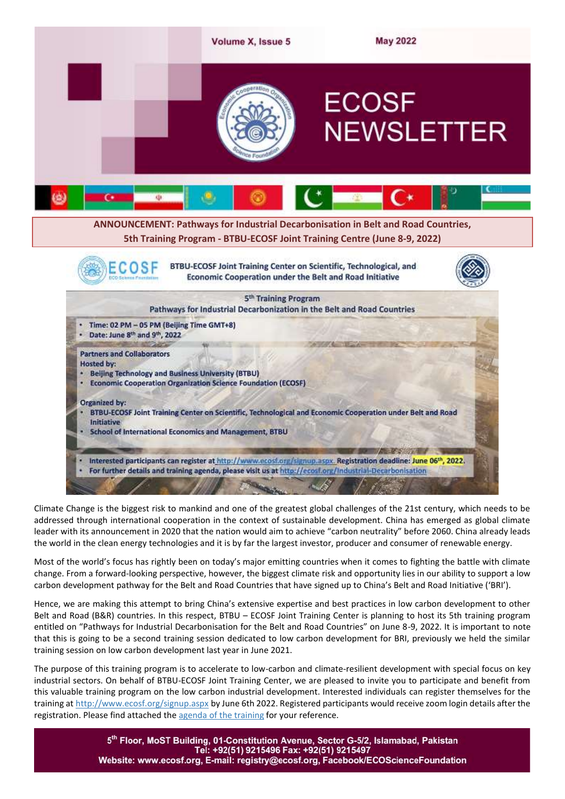

Climate Change is the biggest risk to mankind and one of the greatest global challenges of the 21st century, which needs to be addressed through international cooperation in the context of sustainable development. China has emerged as global climate leader with its announcement in 2020 that the nation would aim to achieve "carbon neutrality" before 2060. China already leads the world in the clean energy technologies and it is by far the largest investor, producer and consumer of renewable energy.

Most of the world's focus has rightly been on today's major emitting countries when it comes to fighting the battle with climate change. From a forward-looking perspective, however, the biggest climate risk and opportunity lies in our ability to support a low carbon development pathway for the Belt and Road Countries that have signed up to China's Belt and Road Initiative ('BRI').

Hence, we are making this attempt to bring China's extensive expertise and best practices in low carbon development to other Belt and Road (B&R) countries. In this respect, BTBU – ECOSF Joint Training Center is planning to host its 5th training program entitled on "Pathways for Industrial Decarbonisation for the Belt and Road Countries" on June 8-9, 2022. It is important to note that this is going to be a second training session dedicated to low carbon development for BRI, previously we held the similar training session on low carbon development last year in June 2021.

The purpose of this training program is to accelerate to low-carbon and climate-resilient development with special focus on key industrial sectors. On behalf of BTBU-ECOSF Joint Training Center, we are pleased to invite you to participate and benefit from this valuable training program on the low carbon industrial development. Interested individuals can register themselves for the training at <http://www.ecosf.org/signup.aspx> by June 6th 2022. Registered participants would receive zoom login details after the registration. Please find attached the [agenda of the training](http://ecosf.org/uploads/files/5th%20training%20-%20BTBU-ECOSF%20JTC%20Industrial%20Decarbonization.pdf) for your reference.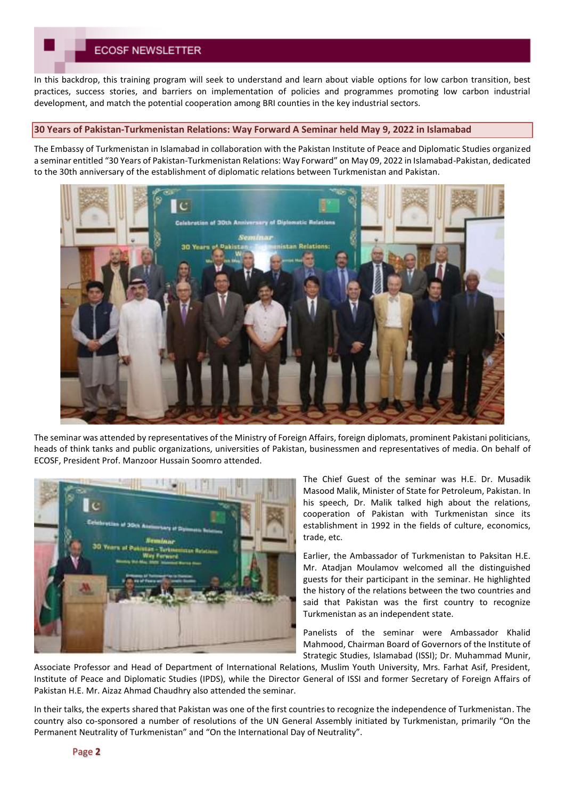# **ECOSE NEWSLETTER**

In this backdrop, this training program will seek to understand and learn about viable options for low carbon transition, best practices, success stories, and barriers on implementation of policies and programmes promoting low carbon industrial development, and match the potential cooperation among BRI counties in the key industrial sectors.

#### **30 Years of Pakistan-Turkmenistan Relations: Way Forward A Seminar held May 9, 2022 in Islamabad**

The Embassy of Turkmenistan in Islamabad in collaboration with the Pakistan Institute of Peace and Diplomatic Studies organized a seminar entitled "30 Years of Pakistan-Turkmenistan Relations: Way Forward" on May 09, 2022 in Islamabad-Pakistan, dedicated to the 30th anniversary of the establishment of diplomatic relations between Turkmenistan and Pakistan.



The seminar was attended by representatives of the Ministry of Foreign Affairs, foreign diplomats, prominent Pakistani politicians, heads of think tanks and public organizations, universities of Pakistan, businessmen and representatives of media. On behalf of ECOSF, President Prof. Manzoor Hussain Soomro attended.



The Chief Guest of the seminar was H.E. Dr. Musadik Masood Malik, Minister of State for Petroleum, Pakistan. In his speech, Dr. Malik talked high about the relations, cooperation of Pakistan with Turkmenistan since its establishment in 1992 in the fields of culture, economics, trade, etc.

Earlier, the Ambassador of Turkmenistan to Paksitan H.E. Mr. Atadjan Moulamov welcomed all the distinguished guests for their participant in the seminar. He highlighted the history of the relations between the two countries and said that Pakistan was the first country to recognize Turkmenistan as an independent state.

Panelists of the seminar were Ambassador Khalid Mahmood, Chairman Board of Governors of the Institute of Strategic Studies, Islamabad (ISSI); Dr. Muhammad Munir,

Associate Professor and Head of Department of International Relations, Muslim Youth University, Mrs. Farhat Asif, President, Institute of Peace and Diplomatic Studies (IPDS), while the Director General of ISSI and former Secretary of Foreign Affairs of Pakistan H.E. Mr. Aizaz Ahmad Chaudhry also attended the seminar.

In their talks, the experts shared that Pakistan was one of the first countries to recognize the independence of Turkmenistan. The country also co-sponsored a number of resolutions of the UN General Assembly initiated by Turkmenistan, primarily "On the Permanent Neutrality of Turkmenistan" and "On the International Day of Neutrality".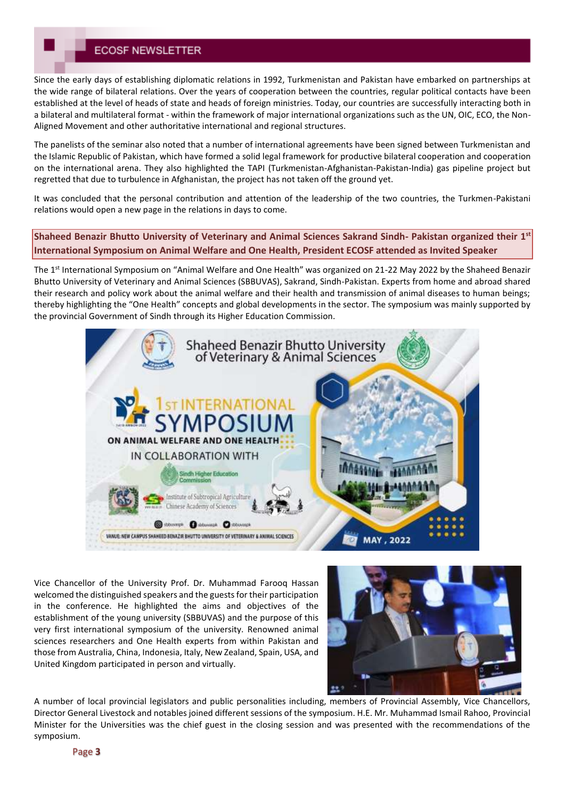# **ECOSE NEWSLETTER**

Since the early days of establishing diplomatic relations in 1992, Turkmenistan and Pakistan have embarked on partnerships at the wide range of bilateral relations. Over the years of cooperation between the countries, regular political contacts have been established at the level of heads of state and heads of foreign ministries. Today, our countries are successfully interacting both in a bilateral and multilateral format - within the framework of major international organizations such as the UN, OIC, ECO, the Non-Aligned Movement and other authoritative international and regional structures.

The panelists of the seminar also noted that a number of international agreements have been signed between Turkmenistan and the Islamic Republic of Pakistan, which have formed a solid legal framework for productive bilateral cooperation and cooperation on the international arena. They also highlighted the TAPI (Turkmenistan-Afghanistan-Pakistan-India) gas pipeline project but regretted that due to turbulence in Afghanistan, the project has not taken off the ground yet.

It was concluded that the personal contribution and attention of the leadership of the two countries, the Turkmen-Pakistani relations would open a new page in the relations in days to come.

**Shaheed Benazir Bhutto University of Veterinary and Animal Sciences Sakrand Sindh- Pakistan organized their 1st International Symposium on Animal Welfare and One Health, President ECOSF attended as Invited Speaker**

The 1st International Symposium on "Animal Welfare and One Health" was organized on 21-22 May 2022 by the Shaheed Benazir Bhutto University of Veterinary and Animal Sciences (SBBUVAS), Sakrand, Sindh-Pakistan. Experts from home and abroad shared their research and policy work about the animal welfare and their health and transmission of animal diseases to human beings; thereby highlighting the "One Health" concepts and global developments in the sector. The symposium was mainly supported by the provincial Government of Sindh through its Higher Education Commission.



Vice Chancellor of the University Prof. Dr. Muhammad Farooq Hassan welcomed the distinguished speakers and the guests for their participation in the conference. He highlighted the aims and objectives of the establishment of the young university (SBBUVAS) and the purpose of this very first international symposium of the university. Renowned animal sciences researchers and One Health experts from within Pakistan and those from Australia, China, Indonesia, Italy, New Zealand, Spain, USA, and United Kingdom participated in person and virtually.



A number of local provincial legislators and public personalities including, members of Provincial Assembly, Vice Chancellors, Director General Livestock and notables joined different sessions of the symposium. H.E. Mr. Muhammad Ismail Rahoo, Provincial Minister for the Universities was the chief guest in the closing session and was presented with the recommendations of the symposium.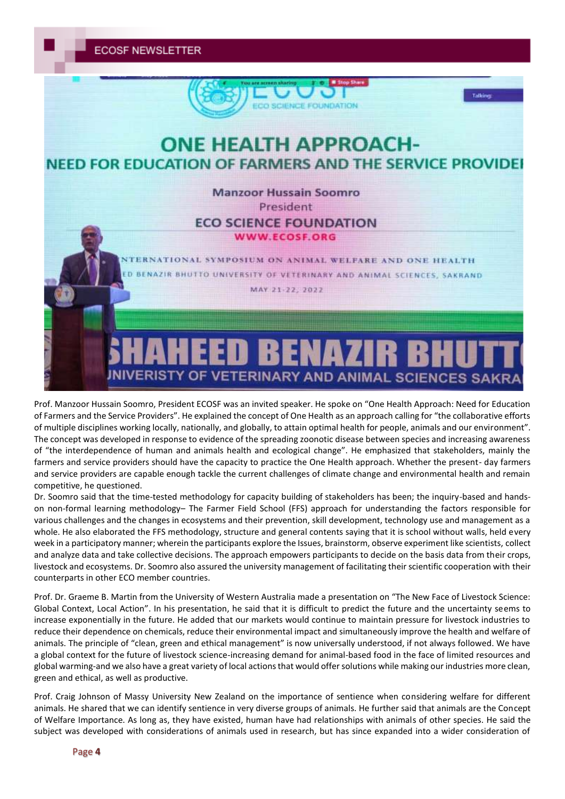**ECOSF NEWSLETTER** 



Prof. Manzoor Hussain Soomro, President ECOSF was an invited speaker. He spoke on "One Health Approach: Need for Education of Farmers and the Service Providers". He explained the concept of One Health as an approach calling for "the collaborative efforts of multiple disciplines working locally, nationally, and globally, to attain optimal health for people, animals and our environment". The concept was developed in response to evidence of the spreading zoonotic disease between species and increasing awareness of "the interdependence of human and animals health and ecological change". He emphasized that stakeholders, mainly the farmers and service providers should have the capacity to practice the One Health approach. Whether the present- day farmers and service providers are capable enough tackle the current challenges of climate change and environmental health and remain competitive, he questioned.

Dr. Soomro said that the time-tested methodology for capacity building of stakeholders has been; the inquiry-based and handson non-formal learning methodology– The Farmer Field School (FFS) approach for understanding the factors responsible for various challenges and the changes in ecosystems and their prevention, skill development, technology use and management as a whole. He also elaborated the FFS methodology, structure and general contents saying that it is school without walls, held every week in a participatory manner; wherein the participants explore the Issues, brainstorm, observe experiment like scientists, collect and analyze data and take collective decisions. The approach empowers participants to decide on the basis data from their crops, livestock and ecosystems. Dr. Soomro also assured the university management of facilitating their scientific cooperation with their counterparts in other ECO member countries.

Prof. Dr. Graeme B. Martin from the University of Western Australia made a presentation on "The New Face of Livestock Science: Global Context, Local Action". In his presentation, he said that it is difficult to predict the future and the uncertainty seems to increase exponentially in the future. He added that our markets would continue to maintain pressure for livestock industries to reduce their dependence on chemicals, reduce their environmental impact and simultaneously improve the health and welfare of animals. The principle of "clean, green and ethical management" is now universally understood, if not always followed. We have a global context for the future of livestock science-increasing demand for animal-based food in the face of limited resources and global warming-and we also have a great variety of local actions that would offer solutions while making our industries more clean, green and ethical, as well as productive.

Prof. Craig Johnson of Massy University New Zealand on the importance of sentience when considering welfare for different animals. He shared that we can identify sentience in very diverse groups of animals. He further said that animals are the Concept of Welfare Importance. As long as, they have existed, human have had relationships with animals of other species. He said the subject was developed with considerations of animals used in research, but has since expanded into a wider consideration of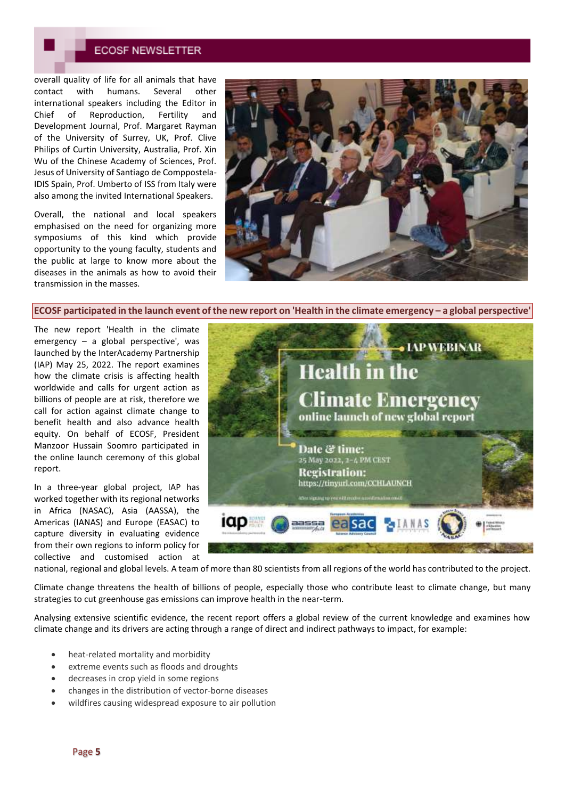## **ECOSF NEWSLETTER**

overall quality of life for all animals that have contact with humans. Several other international speakers including the Editor in Chief of Reproduction, Fertility and Development Journal, Prof. Margaret Rayman of the University of Surrey, UK, Prof. Clive Philips of Curtin University, Australia, Prof. Xin Wu of the Chinese Academy of Sciences, Prof. Jesus of University of Santiago de Comppostela-IDIS Spain, Prof. Umberto of ISS from Italy were also among the invited International Speakers.

Overall, the national and local speakers emphasised on the need for organizing more symposiums of this kind which provide opportunity to the young faculty, students and the public at large to know more about the diseases in the animals as how to avoid their transmission in the masses.



**ECOSF participated in the launch event of the new report on 'Health in the climate emergency – a global perspective'**

The new report 'Health in the climate emergency – a global perspective', was launched by the InterAcademy Partnership (IAP) May 25, 2022. The report examines how the climate crisis is affecting health worldwide and calls for urgent action as billions of people are at risk, therefore we call for action against climate change to benefit health and also advance health equity. On behalf of ECOSF, President Manzoor Hussain Soomro participated in the online launch ceremony of this global report.

In a three-year global project, IAP has worked together with its regional networks in Africa (NASAC), Asia (AASSA), the Americas (IANAS) and Europe (EASAC) to capture diversity in evaluating evidence from their own regions to inform policy for collective and customised action at



national, regional and global levels. A team of more than 80 scientists from all regions of the world has contributed to the project.

Climate change threatens the health of billions of people, especially those who contribute least to climate change, but many strategies to cut greenhouse gas emissions can improve health in the near-term.

Analysing extensive scientific evidence, the recent report offers a global review of the current knowledge and examines how climate change and its drivers are acting through a range of direct and indirect pathways to impact, for example:

- heat-related mortality and morbidity
- extreme events such as floods and droughts
- decreases in crop yield in some regions
- changes in the distribution of vector-borne diseases
- wildfires causing widespread exposure to air pollution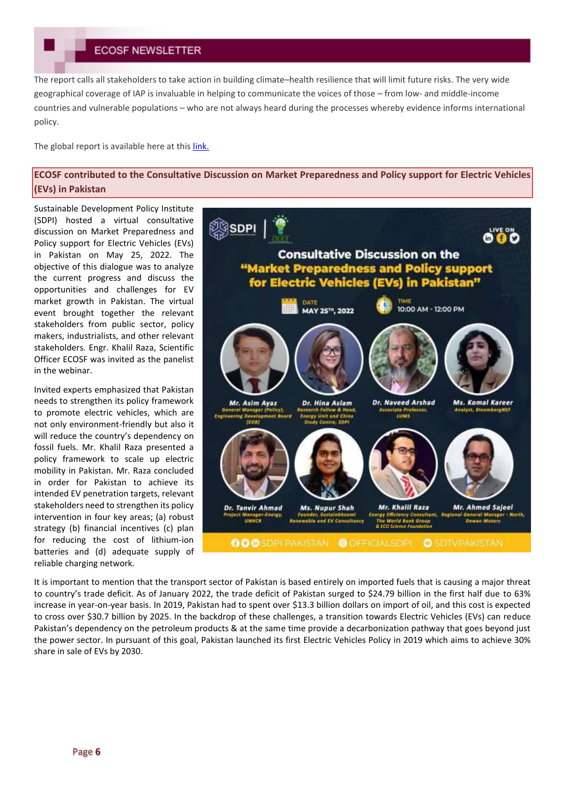The report calls all stakeholders to take action in building climate–health resilience that will limit future risks. The very wide geographical coverage of IAP is invaluable in helping to communicate the voices of those – from low- and middle-income countries and vulnerable populations – who are not always heard during the processes whereby evidence informs international policy.

The global report is available here at thi[s link.](https://www.interacademies.org/publication/health-climate-emergency-global-perspective)

## **ECOSF contributed to the Consultative Discussion on Market Preparedness and Policy support for Electric Vehicles (EVs) in Pakistan**

Sustainable Development Policy Institute (SDPI) hosted a virtual consultative discussion on Market Preparedness and Policy support for Electric Vehicles (EVs) in Pakistan on May 25, 2022. The objective of this dialogue was to analyze the current progress and discuss the opportunities and challenges for EV market growth in Pakistan. The virtual event brought together the relevant stakeholders from public sector, policy makers, industrialists, and other relevant stakeholders. Engr. Khalil Raza, Scientific Officer ECOSF was invited as the panelist in the webinar.

Invited experts emphasized that Pakistan needs to strengthen its policy framework to promote electric vehicles, which are not only environment-friendly but also it will reduce the country's dependency on fossil fuels. Mr. Khalil Raza presented a policy framework to scale up electric mobility in Pakistan. Mr. Raza concluded in order for Pakistan to achieve its intended EV penetration targets, relevant stakeholders need to strengthen its policy intervention in four key areas; (a) robust strategy (b) financial incentives (c) plan for reducing the cost of lithium-ion batteries and (d) adequate supply of reliable charging network.



It is important to mention that the transport sector of Pakistan is based entirely on imported fuels that is causing a major threat to country's trade deficit. As of January 2022, the trade deficit of Pakistan surged to \$24.79 billion in the first half due to 63% increase in year-on-year basis. In 2019, Pakistan had to spent over \$13.3 billion dollars on import of oil, and this cost is expected to cross over \$30.7 billion by 2025. In the backdrop of these challenges, a transition towards Electric Vehicles (EVs) can reduce Pakistan's dependency on the petroleum products & at the same time provide a decarbonization pathway that goes beyond just the power sector. In pursuant of this goal, Pakistan launched its first Electric Vehicles Policy in 2019 which aims to achieve 30% share in sale of EVs by 2030.